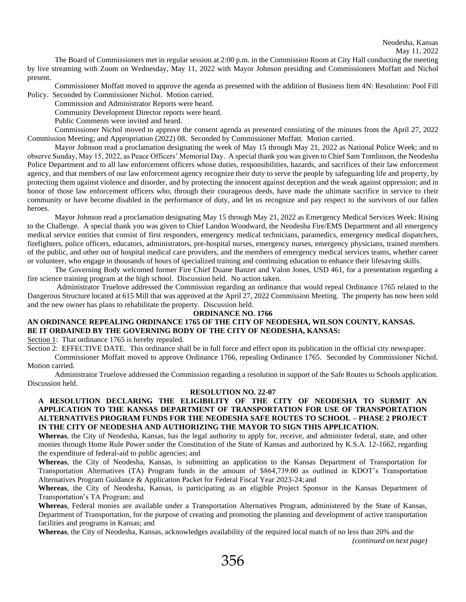The Board of Commissioners met in regular session at 2:00 p.m. in the Commission Room at City Hall conducting the meeting by live streaming with Zoom on Wednesday, May 11, 2022 with Mayor Johnson presiding and Commissioners Moffatt and Nichol present.

Commissioner Moffatt moved to approve the agenda as presented with the addition of Business Item 4N: Resolution: Pool Fill Policy. Seconded by Commissioner Nichol. Motion carried.

Commission and Administrator Reports were heard.

Community Development Director reports were heard.

Public Comments were invited and heard.

Commissioner Nichol moved to approve the consent agenda as presented consisting of the minutes from the April 27, 2022 Commission Meeting; and Appropriation (2022) 08. Seconded by Commissioner Moffatt. Motion carried.

Mayor Johnson read a proclamation designating the week of May 15 through May 21, 2022 as National Police Week; and to observe Sunday, May 15, 2022, as Peace Officers' Memorial Day. A special thank you was given to Chief Sam Tomlinson, the Neodesha Police Department and to all law enforcement officers whose duties, responsibilities, hazards, and sacrifices of their law enforcement agency, and that members of our law enforcement agency recognize their duty to serve the people by safeguarding life and property, by protecting them against violence and disorder, and by protecting the innocent against deception and the weak against oppression; and in honor of those law enforcement officers who, through their courageous deeds, have made the ultimate sacrifice in service to their community or have become disabled in the performance of duty, and let us recognize and pay respect to the survivors of our fallen heroes.

Mayor Johnson read a proclamation designating May 15 through May 21, 2022 as Emergency Medical Services Week: Rising to the Challenge. A special thank you was given to Chief Landon Woodward, the Neodesha Fire/EMS Department and all emergency medical service entities that consist of first responders, emergency medical technicians, paramedics, emergency medical dispatchers, firefighters, police officers, educators, administrators, pre-hospital nurses, emergency nurses, emergency physicians, trained members of the public, and other out of hospital medical care providers, and the members of emergency medical services teams, whether career or volunteer, who engage in thousands of hours of specialized training and continuing education to enhance their lifesaving skills.

The Governing Body welcomed former Fire Chief Duane Banzet and Valon Jones, USD 461, for a presentation regarding a fire science training program at the high school. Discussion held. No action taken.

Administrator Truelove addressed the Commission regarding an ordinance that would repeal Ordinance 1765 related to the Dangerous Structure located at 615 Mill that was approved at the April 27, 2022 Commission Meeting. The property has now been sold and the new owner has plans to rehabilitate the property. Discussion held.

## **ORDINANCE NO. 1766**

# **AN ORDINANCE REPEALING ORDINANCE 1765 OF THE CITY OF NEODESHA, WILSON COUNTY, KANSAS. BE IT ORDAINED BY THE GOVERNING BODY OF THE CITY OF NEODESHA, KANSAS:**

Section 1: That ordinance 1765 is hereby repealed.

Section 2: EFFECTIVE DATE. This ordinance shall be in full force and effect upon its publication in the official city newspaper.

Commissioner Moffatt moved to approve Ordinance 1766, repealing Ordinance 1765. Seconded by Commissioner Nichol. Motion carried.

Administrator Truelove addressed the Commission regarding a resolution in support of the Safe Routes to Schools application. Discussion held.

#### **RESOLUTION NO. 22-07**

## **A RESOLUTION DECLARING THE ELIGIBILITY OF THE CITY OF NEODESHA TO SUBMIT AN APPLICATION TO THE KANSAS DEPARTMENT OF TRANSPORTATION FOR USE OF TRANSPORTATION ALTERNATIVES PROGRAM FUNDS FOR THE NEODESHA SAFE ROUTES TO SCHOOL – PHASE 2 PROJECT IN THE CITY OF NEODESHA AND AUTHORIZING THE MAYOR TO SIGN THIS APPLICATION.**

**Whereas**, the City of Neodesha, Kansas, has the legal authority to apply for, receive, and administer federal, state, and other monies through Home Rule Power under the Constitution of the State of Kansas and authorized by K.S.A. 12-1662, regarding the expenditure of federal-aid to public agencies; and

**Whereas**, the City of Neodesha, Kansas, is submitting an application to the Kansas Department of Transportation for Transportation Alternatives (TA) Program funds in the amount of \$864,739.00 as outlined in KDOT's Transportation Alternatives Program Guidance & Application Packet for Federal Fiscal Year 2023-24; and

**Whereas**, the City of Neodesha, Kansas, is participating as an eligible Project Sponsor in the Kansas Department of Transportation's TA Program; and

**Whereas**, Federal monies are available under a Transportation Alternatives Program, administered by the State of Kansas, Department of Transportation, for the purpose of creating and promoting the planning and development of active transportation facilities and programs in Kansas; and

**Whereas**, the City of Neodesha, Kansas, acknowledges availability of the required local match of no less than 20% and the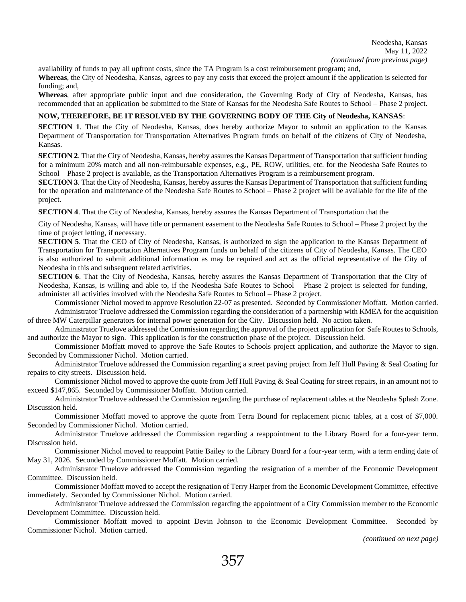availability of funds to pay all upfront costs, since the TA Program is a cost reimbursement program; and,

**Whereas**, the City of Neodesha, Kansas, agrees to pay any costs that exceed the project amount if the application is selected for funding; and,

**Whereas**, after appropriate public input and due consideration, the Governing Body of City of Neodesha, Kansas, has recommended that an application be submitted to the State of Kansas for the Neodesha Safe Routes to School – Phase 2 project.

#### **NOW, THEREFORE, BE IT RESOLVED BY THE GOVERNING BODY OF THE City of Neodesha, KANSAS**:

**SECTION 1**. That the City of Neodesha, Kansas, does hereby authorize Mayor to submit an application to the Kansas Department of Transportation for Transportation Alternatives Program funds on behalf of the citizens of City of Neodesha, Kansas.

**SECTION 2**. That the City of Neodesha, Kansas, hereby assures the Kansas Department of Transportation that sufficient funding for a minimum 20% match and all non-reimbursable expenses, e.g., PE, ROW, utilities, etc. for the Neodesha Safe Routes to School – Phase 2 project is available, as the Transportation Alternatives Program is a reimbursement program.

**SECTION 3**. That the City of Neodesha, Kansas, hereby assures the Kansas Department of Transportation that sufficient funding for the operation and maintenance of the Neodesha Safe Routes to School – Phase 2 project will be available for the life of the project.

**SECTION 4**. That the City of Neodesha, Kansas, hereby assures the Kansas Department of Transportation that the

City of Neodesha, Kansas, will have title or permanent easement to the Neodesha Safe Routes to School – Phase 2 project by the time of project letting, if necessary.

**SECTION 5**. That the CEO of City of Neodesha, Kansas, is authorized to sign the application to the Kansas Department of Transportation for Transportation Alternatives Program funds on behalf of the citizens of City of Neodesha, Kansas. The CEO is also authorized to submit additional information as may be required and act as the official representative of the City of Neodesha in this and subsequent related activities.

**SECTION 6**. That the City of Neodesha, Kansas, hereby assures the Kansas Department of Transportation that the City of Neodesha, Kansas, is willing and able to, if the Neodesha Safe Routes to School – Phase 2 project is selected for funding, administer all activities involved with the Neodesha Safe Routes to School – Phase 2 project.

Commissioner Nichol moved to approve Resolution 22-07 as presented. Seconded by Commissioner Moffatt. Motion carried. Administrator Truelove addressed the Commission regarding the consideration of a partnership with KMEA for the acquisition of three MW Caterpillar generators for internal power generation for the City. Discussion held. No action taken.

Administrator Truelove addressed the Commission regarding the approval of the project application for Safe Routes to Schools, and authorize the Mayor to sign. This application is for the construction phase of the project. Discussion held.

Commissioner Moffatt moved to approve the Safe Routes to Schools project application, and authorize the Mayor to sign. Seconded by Commissioner Nichol. Motion carried.

Administrator Truelove addressed the Commission regarding a street paving project from Jeff Hull Paving & Seal Coating for repairs to city streets. Discussion held.

Commissioner Nichol moved to approve the quote from Jeff Hull Paving & Seal Coating for street repairs, in an amount not to exceed \$147,865. Seconded by Commissioner Moffatt. Motion carried.

Administrator Truelove addressed the Commission regarding the purchase of replacement tables at the Neodesha Splash Zone. Discussion held.

Commissioner Moffatt moved to approve the quote from Terra Bound for replacement picnic tables, at a cost of \$7,000. Seconded by Commissioner Nichol. Motion carried.

Administrator Truelove addressed the Commission regarding a reappointment to the Library Board for a four-year term. Discussion held.

Commissioner Nichol moved to reappoint Pattie Bailey to the Library Board for a four-year term, with a term ending date of May 31, 2026. Seconded by Commissioner Moffatt. Motion carried.

Administrator Truelove addressed the Commission regarding the resignation of a member of the Economic Development Committee. Discussion held.

Commissioner Moffatt moved to accept the resignation of Terry Harper from the Economic Development Committee, effective immediately. Seconded by Commissioner Nichol. Motion carried.

Administrator Truelove addressed the Commission regarding the appointment of a City Commission member to the Economic Development Committee. Discussion held.

Commissioner Moffatt moved to appoint Devin Johnson to the Economic Development Committee. Seconded by Commissioner Nichol. Motion carried.

*(continued on next page)*